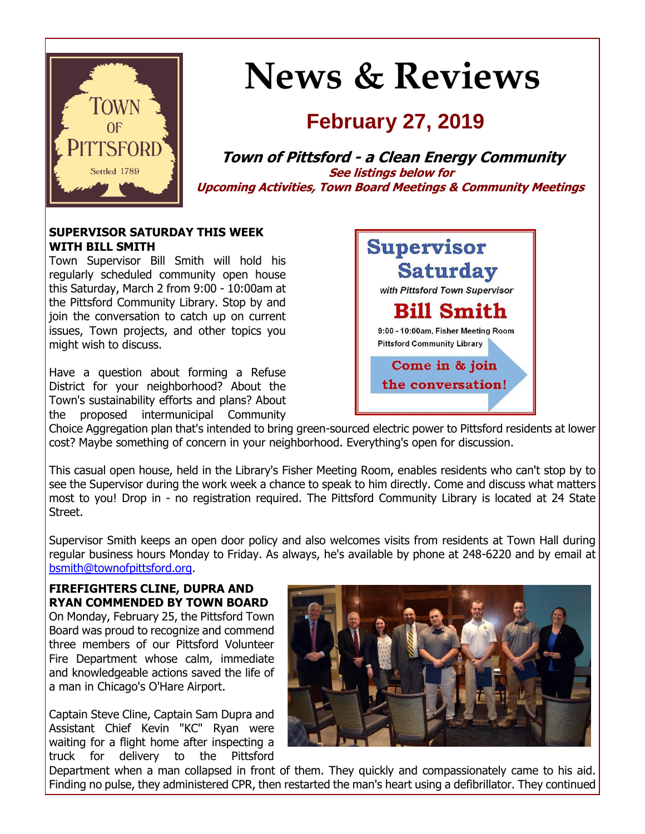

# **News & Reviews**

# **February 27, 2019**

**Town of Pittsford - a Clean Energy Community See listings below for Upcoming Activities, Town Board Meetings & Community Meetings**

## **SUPERVISOR SATURDAY THIS WEEK WITH BILL SMITH**

Town Supervisor Bill Smith will hold his regularly scheduled community open house this Saturday, March 2 from 9:00 - 10:00am at the Pittsford Community Library. Stop by and join the conversation to catch up on current issues, Town projects, and other topics you might wish to discuss.

Have a question about forming a Refuse District for your neighborhood? About the Town's sustainability efforts and plans? About the proposed intermunicipal Community



Choice Aggregation plan that's intended to bring green-sourced electric power to Pittsford residents at lower cost? Maybe something of concern in your neighborhood. Everything's open for discussion.

This casual open house, held in the Library's Fisher Meeting Room, enables residents who can't stop by to see the Supervisor during the work week a chance to speak to him directly. Come and discuss what matters most to you! Drop in - no registration required. The Pittsford Community Library is located at 24 State Street.

Supervisor Smith keeps an open door policy and also welcomes visits from residents at Town Hall during regular business hours Monday to Friday. As always, he's available by phone at 248-6220 and by email at [bsmith@townofpittsford.org.](mailto:bsmith@townofpittsford.org)

#### **FIREFIGHTERS CLINE, DUPRA AND RYAN COMMENDED BY TOWN BOARD**

On Monday, February 25, the Pittsford Town Board was proud to recognize and commend three members of our Pittsford Volunteer Fire Department whose calm, immediate and knowledgeable actions saved the life of a man in Chicago's O'Hare Airport.

Captain Steve Cline, Captain Sam Dupra and Assistant Chief Kevin "KC" Ryan were waiting for a flight home after inspecting a truck for delivery to the Pittsford



Department when a man collapsed in front of them. They quickly and compassionately came to his aid. Finding no pulse, they administered CPR, then restarted the man's heart using a defibrillator. They continued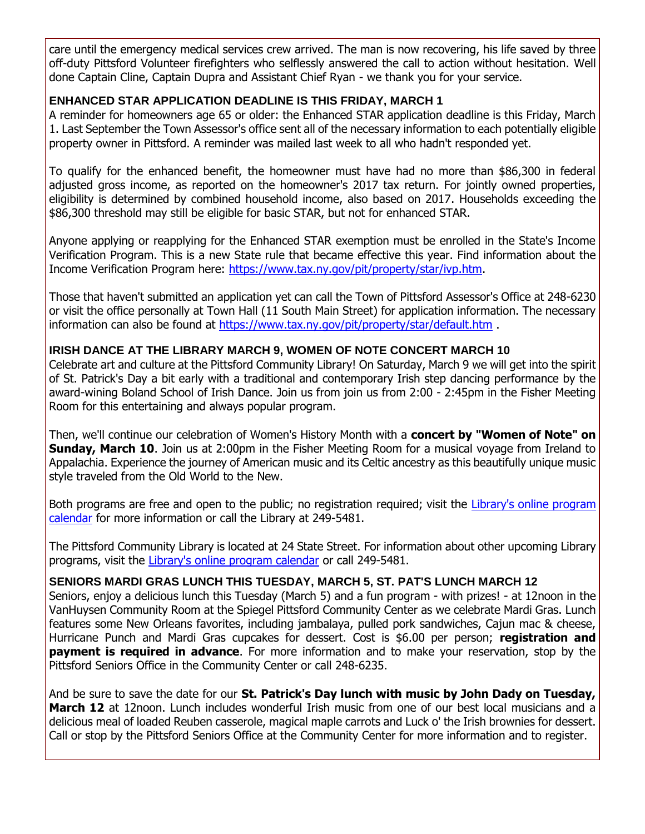care until the emergency medical services crew arrived. The man is now recovering, his life saved by three off-duty Pittsford Volunteer firefighters who selflessly answered the call to action without hesitation. Well done Captain Cline, Captain Dupra and Assistant Chief Ryan - we thank you for your service.

# **ENHANCED STAR APPLICATION DEADLINE IS THIS FRIDAY, MARCH 1**

A reminder for homeowners age 65 or older: the Enhanced STAR application deadline is this Friday, March 1. Last September the Town Assessor's office sent all of the necessary information to each potentially eligible property owner in Pittsford. A reminder was mailed last week to all who hadn't responded yet.

To qualify for the enhanced benefit, the homeowner must have had no more than \$86,300 in federal adjusted gross income, as reported on the homeowner's 2017 tax return. For jointly owned properties, eligibility is determined by combined household income, also based on 2017. Households exceeding the \$86,300 threshold may still be eligible for basic STAR, but not for enhanced STAR.

Anyone applying or reapplying for the Enhanced STAR exemption must be enrolled in the State's Income Verification Program. This is a new State rule that became effective this year. Find information about the Income Verification Program here: [https://www.tax.ny.gov/pit/property/star/ivp.htm.](http://r20.rs6.net/tn.jsp?f=001bL2r8t73f9hXSksK4wlrJMHpjSZ3PHvujQ-dSMnbupJeHVp4O1HgcuYk7Yjl3lyj1Pma4nB2wc-sV3Lleg3QQVxcu_cxfxta0UWqNBPZC6uu0HLBBb6XaVgBpt0c4m8i2K7zfdQGKODAiCyAkJRhlwpBQBmchzGdQ4DEzzKENb9GNbt9SVFIvwWTAQNugrUZZ19yDrsE2lxXIY5PJTVSh2RWRbomHOyVNoJLXVBkXJCCshfhJnxXK50Zw94fmn6N5_Wi0WcPEsPIW0ok802Bkyo_KcqwV0vW7Tc-ekqHp1Mvzsf11m1ucqnTgEMt8yPa63RWZVbwScM=&c=8myqJ0LGMGU-7v22DrBGfEhw1mjGtljfj_XAdxBgzf1usL2Qpi5wxA==&ch=1UpROYVLvzhcuwhIvqylXPSZpAwFokrAdORN6jKE_oiZ4XpgriJrNA==)

Those that haven't submitted an application yet can call the Town of Pittsford Assessor's Office at 248-6230 or visit the office personally at Town Hall (11 South Main Street) for application information. The necessary information can also be found at [https://www.tax.ny.gov/pit/property/star/default.htm](http://r20.rs6.net/tn.jsp?f=001bL2r8t73f9hXSksK4wlrJMHpjSZ3PHvujQ-dSMnbupJeHVp4O1HgcuYk7Yjl3lyjGLinrFhphKAZEK73gO04F64uEWmWvvbifzvDnVq-uUjyKBQpHcpM9aU8dLoNyLr-x2NTHo7QLKNqsKRTPdloBFoo2Ej1KE0a7HLHaQgrUmX32O0kJQI9tgNhCIypi1ehD8Dy04F-ErRhDnSizJb-CGUvs30VUOFEdP43ZmAIZp33lyG8ob-3_ZQU2DWaW7Oc7Sm9h2ZmMNgxpsUeLMxKfpatMezwtPlhmQrCdyccOdr6zlkQUW0TFXiCvZotd6I7JKe_8J6iMEA=&c=8myqJ0LGMGU-7v22DrBGfEhw1mjGtljfj_XAdxBgzf1usL2Qpi5wxA==&ch=1UpROYVLvzhcuwhIvqylXPSZpAwFokrAdORN6jKE_oiZ4XpgriJrNA==).

# **IRISH DANCE AT THE LIBRARY MARCH 9, WOMEN OF NOTE CONCERT MARCH 10**

Celebrate art and culture at the Pittsford Community Library! On Saturday, March 9 we will get into the spirit of St. Patrick's Day a bit early with a traditional and contemporary Irish step dancing performance by the award-wining Boland School of Irish Dance. Join us from join us from 2:00 - 2:45pm in the Fisher Meeting Room for this entertaining and always popular program.

Then, we'll continue our celebration of Women's History Month with a **concert by "Women of Note" on Sunday, March 10**. Join us at 2:00pm in the Fisher Meeting Room for a musical voyage from Ireland to Appalachia. Experience the journey of American music and its Celtic ancestry as this beautifully unique music style traveled from the Old World to the New.

Both programs are free and open to the public; no registration required; visit the Library's online program [calendar](http://r20.rs6.net/tn.jsp?f=001bL2r8t73f9hXSksK4wlrJMHpjSZ3PHvujQ-dSMnbupJeHVp4O1HgcnY0yPVQ5xEOUuLgoCbqhfVJ64K5-mRevTMU1QHdh0RmRvPLBdVkV0U5V6Fn5rixxQsGiKnwyZv0SHGMxlsf2pzQ_sKgrrz3cHYZj1ldA6GJ19MeyOXGgn8sYmb9EVowOmTTHI_qiSRnkx64QaGTqDuFECeGDt5yXC-AvZP957D1hSsNn8Ks943RbsinAyo_FpwyYfmuINKdR7CTXrzlKfyxuNW7ORWo8aESF6e2W9wgbTin9r_NgxXB5pX996NtUYIBBuMGldUCPaPo-_iBs_Unq4933eD5Zy5huzZuema0KF-O9OdXEenRrr8-oXG8b2QMG_s_J34bWMZIzDwgO-8vU0VxWKaE5_W-3GZxYi4A&c=8myqJ0LGMGU-7v22DrBGfEhw1mjGtljfj_XAdxBgzf1usL2Qpi5wxA==&ch=1UpROYVLvzhcuwhIvqylXPSZpAwFokrAdORN6jKE_oiZ4XpgriJrNA==) for more information or call the Library at 249-5481.

The Pittsford Community Library is located at 24 State Street. For information about other upcoming Library programs, visit the [Library's online program calendar](http://r20.rs6.net/tn.jsp?f=001bL2r8t73f9hXSksK4wlrJMHpjSZ3PHvujQ-dSMnbupJeHVp4O1HgcnY0yPVQ5xEOUuLgoCbqhfVJ64K5-mRevTMU1QHdh0RmRvPLBdVkV0U5V6Fn5rixxQsGiKnwyZv0SHGMxlsf2pzQ_sKgrrz3cHYZj1ldA6GJ19MeyOXGgn8sYmb9EVowOmTTHI_qiSRnkx64QaGTqDuFECeGDt5yXC-AvZP957D1hSsNn8Ks943RbsinAyo_FpwyYfmuINKdR7CTXrzlKfyxuNW7ORWo8aESF6e2W9wgbTin9r_NgxXB5pX996NtUYIBBuMGldUCPaPo-_iBs_Unq4933eD5Zy5huzZuema0KF-O9OdXEenRrr8-oXG8b2QMG_s_J34bWMZIzDwgO-8vU0VxWKaE5_W-3GZxYi4A&c=8myqJ0LGMGU-7v22DrBGfEhw1mjGtljfj_XAdxBgzf1usL2Qpi5wxA==&ch=1UpROYVLvzhcuwhIvqylXPSZpAwFokrAdORN6jKE_oiZ4XpgriJrNA==) or call 249-5481.

#### **SENIORS MARDI GRAS LUNCH THIS TUESDAY, MARCH 5, ST. PAT'S LUNCH MARCH 12**

Seniors, enjoy a delicious lunch this Tuesday (March 5) and a fun program - with prizes! - at 12noon in the VanHuysen Community Room at the Spiegel Pittsford Community Center as we celebrate Mardi Gras. Lunch features some New Orleans favorites, including jambalaya, pulled pork sandwiches, Cajun mac & cheese, Hurricane Punch and Mardi Gras cupcakes for dessert. Cost is \$6.00 per person; **registration and payment is required in advance**. For more information and to make your reservation, stop by the Pittsford Seniors Office in the Community Center or call 248-6235.

And be sure to save the date for our **St. Patrick's Day lunch with music by John Dady on Tuesday, March 12** at 12noon. Lunch includes wonderful Irish music from one of our best local musicians and a delicious meal of loaded Reuben casserole, magical maple carrots and Luck o' the Irish brownies for dessert. Call or stop by the Pittsford Seniors Office at the Community Center for more information and to register.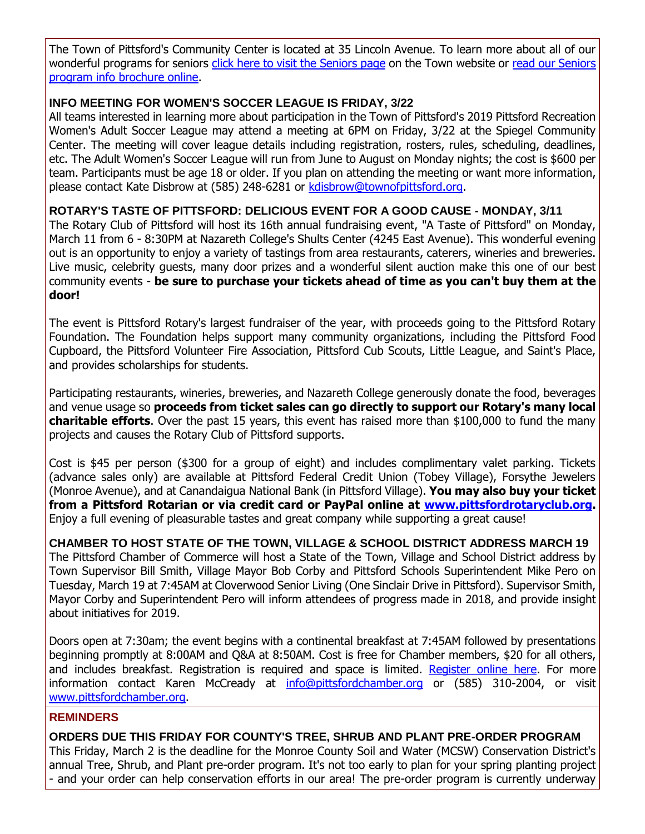The Town of Pittsford's Community Center is located at 35 Lincoln Avenue. To learn more about all of our wonderful programs for seniors [click here to visit the Seniors page](http://r20.rs6.net/tn.jsp?f=001bL2r8t73f9hXSksK4wlrJMHpjSZ3PHvujQ-dSMnbupJeHVp4O1HgcqS9vPafnEvgshWU1hPFizF8iDv7S8bCMDJoraYWsqZrrBRZre-nKfOl-KPlVCA0gsT0MU33XNCZrviPv72_AFPAkU1UZb5fAGsocqC9tch7FpqcjKbSZ55EsrMUjZ5L1gsqmEpkCWvKEdwscgcUud_H2-MQ5o2WtgZDEgRomTIPPYXGqxuN70Q5JZPlyDcQ1k8we4htqWVHiBHSTcf23rNCoP3nckhw2TDPWpZThLc50O5wFhLnBPZ0QhNG-4vNF3AvVDYk2Cht&c=8myqJ0LGMGU-7v22DrBGfEhw1mjGtljfj_XAdxBgzf1usL2Qpi5wxA==&ch=1UpROYVLvzhcuwhIvqylXPSZpAwFokrAdORN6jKE_oiZ4XpgriJrNA==) on the Town website or read our Seniors [program info brochure online.](http://r20.rs6.net/tn.jsp?f=001bL2r8t73f9hXSksK4wlrJMHpjSZ3PHvujQ-dSMnbupJeHVp4O1HgcvhN6FW7Ml_4uhz2nsUX6xo8gU9TpLl4D0OcqnHyMklnhv2zOnTA9UHoj1B6LwXSWksG9QEiXiIw3v3WM7nZpGwsY_Yp2HUTX2A6Ex2-nbaxS83IPztCGduHMO5Jleitwz0c75rCbQ-m7OJESXMJaPVWBVtNuZodN5RsbLuUOnBlsukBR6l0X0kNOjYY6xwKlxl6vL1eNl4XxhMXrNBl72rYbSf7p9zTnx3MezWZb72wSRNr6Y40k9ifot6sE3j3xplimOXwLiPcgbf-0j59dwxv2Qyb6E_FEuFXnCzSXHuCZ6Rst_vi8hJiqXX0NizJpw==&c=8myqJ0LGMGU-7v22DrBGfEhw1mjGtljfj_XAdxBgzf1usL2Qpi5wxA==&ch=1UpROYVLvzhcuwhIvqylXPSZpAwFokrAdORN6jKE_oiZ4XpgriJrNA==)

#### **INFO MEETING FOR WOMEN'S SOCCER LEAGUE IS FRIDAY, 3/22**

All teams interested in learning more about participation in the Town of Pittsford's 2019 Pittsford Recreation Women's Adult Soccer League may attend a meeting at 6PM on Friday, 3/22 at the Spiegel Community Center. The meeting will cover league details including registration, rosters, rules, scheduling, deadlines, etc. The Adult Women's Soccer League will run from June to August on Monday nights; the cost is \$600 per team. Participants must be age 18 or older. If you plan on attending the meeting or want more information, please contact Kate Disbrow at (585) 248-6281 or [kdisbrow@townofpittsford.org.](mailto:kdisbrow@townofpittsford.org?subject=Women)

**ROTARY'S TASTE OF PITTSFORD: DELICIOUS EVENT FOR A GOOD CAUSE - MONDAY, 3/11**

The Rotary Club of Pittsford will host its 16th annual fundraising event, "A Taste of Pittsford" on Monday, March 11 from 6 - 8:30PM at Nazareth College's Shults Center (4245 East Avenue). This wonderful evening out is an opportunity to enjoy a variety of tastings from area restaurants, caterers, wineries and breweries. Live music, celebrity guests, many door prizes and a wonderful silent auction make this one of our best community events - **be sure to purchase your tickets ahead of time as you can't buy them at the door!**

The event is Pittsford Rotary's largest fundraiser of the year, with proceeds going to the Pittsford Rotary Foundation. The Foundation helps support many community organizations, including the Pittsford Food Cupboard, the Pittsford Volunteer Fire Association, Pittsford Cub Scouts, Little League, and Saint's Place, and provides scholarships for students.

Participating restaurants, wineries, breweries, and Nazareth College generously donate the food, beverages and venue usage so **proceeds from ticket sales can go directly to support our Rotary's many local charitable efforts**. Over the past 15 years, this event has raised more than \$100,000 to fund the many projects and causes the Rotary Club of Pittsford supports.

Cost is \$45 per person (\$300 for a group of eight) and includes complimentary valet parking. Tickets (advance sales only) are available at Pittsford Federal Credit Union (Tobey Village), Forsythe Jewelers (Monroe Avenue), and at Canandaigua National Bank (in Pittsford Village). **You may also buy your ticket from a Pittsford Rotarian or via credit card or PayPal online at [www.pittsfordrotaryclub.org.](http://r20.rs6.net/tn.jsp?f=001bL2r8t73f9hXSksK4wlrJMHpjSZ3PHvujQ-dSMnbupJeHVp4O1HgcviHPPtmNA5ipouh1wwyGbT0OjuEXNsI42gJNoeGvrGa2hLUam-d-fnZINGCSomldUv66sEu2521SrFhhXxM1v9kXsR8MiBc667naEJbuqzcShEL-O3cnjcsY7VkOKiSbgxZekMQ10DtB0G8fA6hCciZPqc7I3f8DJXEp7vrL8ClA_4i1inqG4EG7zWF54MBkceqK3zeWuyMcDOrXr_MTvyIXWATZKRAV3ebqdYH0uzRa-lS6gxYcf_tTECzbGP_5Q==&c=8myqJ0LGMGU-7v22DrBGfEhw1mjGtljfj_XAdxBgzf1usL2Qpi5wxA==&ch=1UpROYVLvzhcuwhIvqylXPSZpAwFokrAdORN6jKE_oiZ4XpgriJrNA==)** Enjoy a full evening of pleasurable tastes and great company while supporting a great cause!

**CHAMBER TO HOST STATE OF THE TOWN, VILLAGE & SCHOOL DISTRICT ADDRESS MARCH 19** The Pittsford Chamber of Commerce will host a State of the Town, Village and School District address by Town Supervisor Bill Smith, Village Mayor Bob Corby and Pittsford Schools Superintendent Mike Pero on Tuesday, March 19 at 7:45AM at Cloverwood Senior Living (One Sinclair Drive in Pittsford). Supervisor Smith, Mayor Corby and Superintendent Pero will inform attendees of progress made in 2018, and provide insight about initiatives for 2019.

Doors open at 7:30am; the event begins with a continental breakfast at 7:45AM followed by presentations beginning promptly at 8:00AM and Q&A at 8:50AM. Cost is free for Chamber members, \$20 for all others, and includes breakfast. Registration is required and space is limited. [Register online here.](http://r20.rs6.net/tn.jsp?f=001bL2r8t73f9hXSksK4wlrJMHpjSZ3PHvujQ-dSMnbupJeHVp4O1HgcuYk7Yjl3lyjjvt_aVdVCDlyPgUsaYMcf-LZEyg5KFZsA1exv4FzQ90kA_pY9ivX-c9x--q7IsOuDN4Gp9AbboFtGroezjV1ex-qqpDnensUwaA66CYtsKeAynIpM1DruC7jDix5avyWjYohNaoaD3e2B-fMqQiX_kMuv88LAbr7ctcBJSUZCXrwxancvdftroWpryLTn1sStG3LBXfyJ2Offi6vdT3B4WPkuacyUP_WLFdO_j4ycMvpq_SGqnYBpzKTrVYvIpn-0ZzhdNH9L_Y1KJpez_j-l0TaPcmCVt82bJprTJDL65AMT3yP4F_hxDv7v4fY0PRwJoe8ly79U3LGRHQT3PbyQPuE5WwSFcEt76ixWcLoFMWxLKb5z4uIfl6r9MATX_pMA3qqRXY6ZL4uotEN0uCddqDOGyBycAKY456y4_bMZfwjrxjcR8HdvA==&c=8myqJ0LGMGU-7v22DrBGfEhw1mjGtljfj_XAdxBgzf1usL2Qpi5wxA==&ch=1UpROYVLvzhcuwhIvqylXPSZpAwFokrAdORN6jKE_oiZ4XpgriJrNA==) For more information contact Karen McCready at [info@pittsfordchamber.org](mailto:info@pittsfordchamber.org?subject=Pittsford%20State%20of%20the%20Town%20Village%20Schools) or (585) 310-2004, or visit [www.pittsfordchamber.org.](http://r20.rs6.net/tn.jsp?f=001bL2r8t73f9hXSksK4wlrJMHpjSZ3PHvujQ-dSMnbupJeHVp4O1Hgclt4GIXghydWUcjIsyXndxVIjHR1NIDThA81DZTWL8JA8qX1r3zhqEEoobBl0xse3wKJFsdOqhqgr5s3I84Hq2xPEngLVo-yi9VgXbM7xoaqsv8L6xrX1nHWzt2VrN5PAkdGBK-WXed1mtNuKnim9K7FCjaaLinybGZUG2YUeo9Ig4Ay2xR4V5tQ0WZfHiWfEqW6nnETCO6vwgQ0o48NANaF-pc9OBuAXFqazqNILdfKqZW9PQvP7sg=&c=8myqJ0LGMGU-7v22DrBGfEhw1mjGtljfj_XAdxBgzf1usL2Qpi5wxA==&ch=1UpROYVLvzhcuwhIvqylXPSZpAwFokrAdORN6jKE_oiZ4XpgriJrNA==)

#### **REMINDERS**

**ORDERS DUE THIS FRIDAY FOR COUNTY'S TREE, SHRUB AND PLANT PRE-ORDER PROGRAM** This Friday, March 2 is the deadline for the Monroe County Soil and Water (MCSW) Conservation District's annual Tree, Shrub, and Plant pre-order program. It's not too early to plan for your spring planting project - and your order can help conservation efforts in our area! The pre-order program is currently underway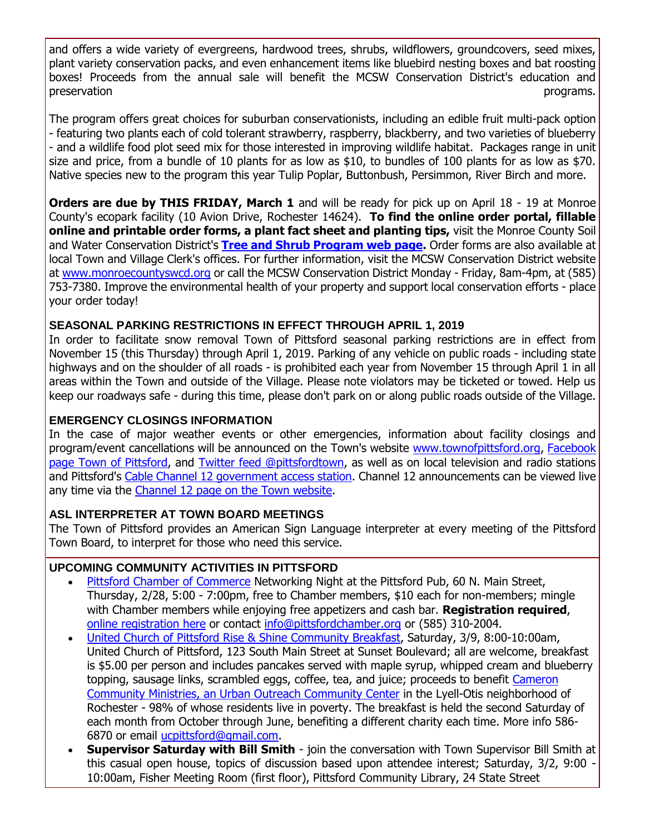and offers a wide variety of evergreens, hardwood trees, shrubs, wildflowers, groundcovers, seed mixes, plant variety conservation packs, and even enhancement items like bluebird nesting boxes and bat roosting boxes! Proceeds from the annual sale will benefit the MCSW Conservation District's education and preservation programs.

The program offers great choices for suburban conservationists, including an edible fruit multi-pack option - featuring two plants each of cold tolerant strawberry, raspberry, blackberry, and two varieties of blueberry - and a wildlife food plot seed mix for those interested in improving wildlife habitat. Packages range in unit size and price, from a bundle of 10 plants for as low as \$10, to bundles of 100 plants for as low as \$70. Native species new to the program this year Tulip Poplar, Buttonbush, Persimmon, River Birch and more.

**Orders are due by THIS FRIDAY, March 1** and will be ready for pick up on April 18 - 19 at Monroe County's ecopark facility (10 Avion Drive, Rochester 14624). **To find the online order portal, fillable online and printable order forms, a plant fact sheet and planting tips,** visit the Monroe County Soil and Water Conservation District's **[Tree and Shrub Program web page.](http://r20.rs6.net/tn.jsp?f=001bL2r8t73f9hXSksK4wlrJMHpjSZ3PHvujQ-dSMnbupJeHVp4O1HgcqOmr0Q2-rFWEyru9IfMgfSSZ5pxnXETsgJR0zhMrkbJJPlqyWnmeB-WbQZZ10k7bZOqBYR3Y1gBuKCI4oyO4Ngv1Ybjaitn4nRl4-iwoL_rfx2X20cIII5YqjGRkP0Xbh6-u3BHEQLYTGUd9U6LEzkzQMkf-r6HW9cqlm5szfw8OWifKLhRziqotJrulo9xEsTHSpK8ODwisf1TLeQp5jj7Vc8TNJRJDZDyqVUXhKOQ4yvAFtqQSxcgy4VOByd3t2LhTAJ69MtN&c=8myqJ0LGMGU-7v22DrBGfEhw1mjGtljfj_XAdxBgzf1usL2Qpi5wxA==&ch=1UpROYVLvzhcuwhIvqylXPSZpAwFokrAdORN6jKE_oiZ4XpgriJrNA==)** Order forms are also available at local Town and Village Clerk's offices. For further information, visit the MCSW Conservation District website at [www.monroecountyswcd.org](http://r20.rs6.net/tn.jsp?f=001bL2r8t73f9hXSksK4wlrJMHpjSZ3PHvujQ-dSMnbupJeHVp4O1HgchubYxMu9rsgr-EbFePPByemN4wy5duPMC8gUub3aykAbAJLiz_JINaCetPk0vMCeeEI_pkG3S52wboybdSbbs1cRkb2hKWhQGOCzVOoPLZyrqxa4YiHIQgI3PYL_Nb2o_o1TwLNZ3raEqF4T4b8-pUHFP2SWYW6eN2YCKp122AXvbPyFoxNAtCcg2O8D1KWtrSqOFu116FS66QqALqtSUPzLXMm3J0XOZVKG9plCTbuNhjd11I0q6g=&c=8myqJ0LGMGU-7v22DrBGfEhw1mjGtljfj_XAdxBgzf1usL2Qpi5wxA==&ch=1UpROYVLvzhcuwhIvqylXPSZpAwFokrAdORN6jKE_oiZ4XpgriJrNA==) or call the MCSW Conservation District Monday - Friday, 8am-4pm, at (585) 753-7380. Improve the environmental health of your property and support local conservation efforts - place your order today!

#### **SEASONAL PARKING RESTRICTIONS IN EFFECT THROUGH APRIL 1, 2019**

In order to facilitate snow removal Town of Pittsford seasonal parking restrictions are in effect from November 15 (this Thursday) through April 1, 2019. Parking of any vehicle on public roads - including state highways and on the shoulder of all roads - is prohibited each year from November 15 through April 1 in all areas within the Town and outside of the Village. Please note violators may be ticketed or towed. Help us keep our roadways safe - during this time, please don't park on or along public roads outside of the Village.

## **EMERGENCY CLOSINGS INFORMATION**

In the case of major weather events or other emergencies, information about facility closings and program/event cancellations will be announced on the Town's website [www.townofpittsford.org,](http://townofpittsford.org/?utm_source=eNews+02-27-19&utm_campaign=eNews+02-27-19&utm_medium=email) [Facebook](https://www.facebook.com/pages/Town-of-Pittsford/139082619464200)  [page Town of Pittsford,](https://www.facebook.com/pages/Town-of-Pittsford/139082619464200) and [Twitter feed @pittsfordtown,](http://r20.rs6.net/tn.jsp?f=001bL2r8t73f9hXSksK4wlrJMHpjSZ3PHvujQ-dSMnbupJeHVp4O1Hgcvo2va71o22nzMaRWpXv59aMmrMDAPA4Ee2Qv9on1XMyrSxp-WM9f-Qb1sA757rbHGLds7q2l0_d6mEivLAxo_FxWChqNzxzCe3gHhCnOCC5q97JeUuhVFx2Koa6E3cz2g==&c=8myqJ0LGMGU-7v22DrBGfEhw1mjGtljfj_XAdxBgzf1usL2Qpi5wxA==&ch=1UpROYVLvzhcuwhIvqylXPSZpAwFokrAdORN6jKE_oiZ4XpgriJrNA==) as well as on local television and radio stations and Pittsford's [Cable Channel 12 government access station.](http://townofpittsford.org/home-channel12?utm_source=eNews+02-27-19&utm_campaign=eNews+02-27-19&utm_medium=email) Channel 12 announcements can be viewed live any time via the [Channel 12 page on the Town website.](http://townofpittsford.org/home-channel12?utm_source=eNews+02-27-19&utm_campaign=eNews+02-27-19&utm_medium=email)

# **ASL INTERPRETER AT TOWN BOARD MEETINGS**

The Town of Pittsford provides an American Sign Language interpreter at every meeting of the Pittsford Town Board, to interpret for those who need this service.

#### **UPCOMING COMMUNITY ACTIVITIES IN PITTSFORD**

- [Pittsford Chamber of Commerce](http://r20.rs6.net/tn.jsp?f=001bL2r8t73f9hXSksK4wlrJMHpjSZ3PHvujQ-dSMnbupJeHVp4O1Hgcta3_4uSMrjVM0BeUSdOQryHij_sx9TC2PWV0XIYk3Ot5k7NrlTB2w0PjAePsvJqfLbdX08F9pGGphNeWCQyZ8qAelkBZS6jfs0SMYjPv9SWgYrSsH7LL_0mQYjmrDFcBYVqm6rQx7dG1ws1TOiKa7ndfxe0RPB0U64tlE8EwdlKSTQW-GViWEii-KZmJ81bllvatDdUQ856xYEAME745IcVdhN0bqPOm_3OSEbtVfpVgUA5-zmIlek=&c=8myqJ0LGMGU-7v22DrBGfEhw1mjGtljfj_XAdxBgzf1usL2Qpi5wxA==&ch=1UpROYVLvzhcuwhIvqylXPSZpAwFokrAdORN6jKE_oiZ4XpgriJrNA==) Networking Night at the Pittsford Pub, 60 N. Main Street, Thursday, 2/28, 5:00 - 7:00pm, free to Chamber members, \$10 each for non-members; mingle with Chamber members while enjoying free appetizers and cash bar. **Registration required**, [online registration here](http://r20.rs6.net/tn.jsp?f=001bL2r8t73f9hXSksK4wlrJMHpjSZ3PHvujQ-dSMnbupJeHVp4O1HgcgbUAZnHVzcFw5RgLLS_zEDDxWF2kwp4r8BPpbGIX_iAheASDC6iI0zWtHFhp597qYYuZyFM9GlT4hKzpE5stniVlMh4SI5WDCW2sWOg23xNRUbhjZMnocdXvTmTj8mytIZ4Cj3XIe9deQRLgt_T4xKN1Q8BtaDWB8WT2SNcz0RHBjLChG51O2d4Nca_d3MxGm_-ExL5jSh6YAv56MPDUSrY9A_FpNm7vV1Rk10afgFz2IeBsydFXVvvegwqOuiTkniaYWTj9Jf8akGhuBfkCOPFKN4g5iF5A4u6pU-iEorN6aH_ZY4NMCtzY48zuc9aPwgggrXbZRDgjznnVvRuZyTkQTqqvm8f4A==&c=8myqJ0LGMGU-7v22DrBGfEhw1mjGtljfj_XAdxBgzf1usL2Qpi5wxA==&ch=1UpROYVLvzhcuwhIvqylXPSZpAwFokrAdORN6jKE_oiZ4XpgriJrNA==) or contact [info@pittsfordchamber.org](mailto:info@pittsfordchamber.org) or (585) 310-2004.
- [United Church of Pittsford Rise &](http://r20.rs6.net/tn.jsp?f=001bL2r8t73f9hXSksK4wlrJMHpjSZ3PHvujQ-dSMnbupJeHVp4O1HgcoG8MvrsTz2KaNMZ_Nyueg6FvDDgqS0lnRPBvGsIjkv1RQRq1pJdAC_X9HDzJhwVyyNyPdDSOh0xxbpq1CzBSjqrNAakD6APijOEjUCzkn0pC5QPc-0bKyqtE6O6TI2kvX_DYrddKE7GbN8htQEdchVVE89UguLwUbmBce-CIptE4C3vlJ7ItroWWrU6gyaHKzzy9i1OBZnxLFjPvyxei4J3Oqk0J6aaK4pXfc3CcDwvuG2zZDz_15Y=&c=8myqJ0LGMGU-7v22DrBGfEhw1mjGtljfj_XAdxBgzf1usL2Qpi5wxA==&ch=1UpROYVLvzhcuwhIvqylXPSZpAwFokrAdORN6jKE_oiZ4XpgriJrNA==) Shine Community Breakfast, Saturday, 3/9, 8:00-10:00am, United Church of Pittsford, 123 South Main Street at Sunset Boulevard; all are welcome, breakfast is \$5.00 per person and includes pancakes served with maple syrup, whipped cream and blueberry topping, sausage links, scrambled eggs, coffee, tea, and juice; proceeds to benefit [Cameron](http://r20.rs6.net/tn.jsp?f=001bL2r8t73f9hXSksK4wlrJMHpjSZ3PHvujQ-dSMnbupJeHVp4O1Hgcjp7itpC3RiENe9YkSL1P5cI4mfPnK9iq6BLngz0HOUvi3HkSTcrE64Bnqpj5Tu5pdt67NS9eoKND0Z9qXdK57mjqEGJWhJOWhTxr3uu9Qut2tGQT_d3K05FeSxXBxgoOtcXb07VHWzZKVs31X5V8IY02baf5hrSYnZrxNWgc8iNNU4IFJ30R_m1eX97U_Eju45eRAQXNLeJbkxpInsMmKKrnazK6YmvyKWRnHeMSK4S9I7rAjcOMuQ=&c=8myqJ0LGMGU-7v22DrBGfEhw1mjGtljfj_XAdxBgzf1usL2Qpi5wxA==&ch=1UpROYVLvzhcuwhIvqylXPSZpAwFokrAdORN6jKE_oiZ4XpgriJrNA==)  [Community Ministries, an Urban Outreach Community Center](http://r20.rs6.net/tn.jsp?f=001bL2r8t73f9hXSksK4wlrJMHpjSZ3PHvujQ-dSMnbupJeHVp4O1Hgcjp7itpC3RiENe9YkSL1P5cI4mfPnK9iq6BLngz0HOUvi3HkSTcrE64Bnqpj5Tu5pdt67NS9eoKND0Z9qXdK57mjqEGJWhJOWhTxr3uu9Qut2tGQT_d3K05FeSxXBxgoOtcXb07VHWzZKVs31X5V8IY02baf5hrSYnZrxNWgc8iNNU4IFJ30R_m1eX97U_Eju45eRAQXNLeJbkxpInsMmKKrnazK6YmvyKWRnHeMSK4S9I7rAjcOMuQ=&c=8myqJ0LGMGU-7v22DrBGfEhw1mjGtljfj_XAdxBgzf1usL2Qpi5wxA==&ch=1UpROYVLvzhcuwhIvqylXPSZpAwFokrAdORN6jKE_oiZ4XpgriJrNA==) in the Lyell-Otis neighborhood of Rochester - 98% of whose residents live in poverty. The breakfast is held the second Saturday of each month from October through June, benefiting a different charity each time. More info 586- 6870 or email [ucpittsford@gmail.com.](mailto:ucpittsford@gmail.com?subject=Rise%20and%20Shine%20Pancake%20Breakfast)
- **Supervisor Saturday with Bill Smith** join the conversation with Town Supervisor Bill Smith at this casual open house, topics of discussion based upon attendee interest; Saturday, 3/2, 9:00 - 10:00am, Fisher Meeting Room (first floor), Pittsford Community Library, 24 State Street